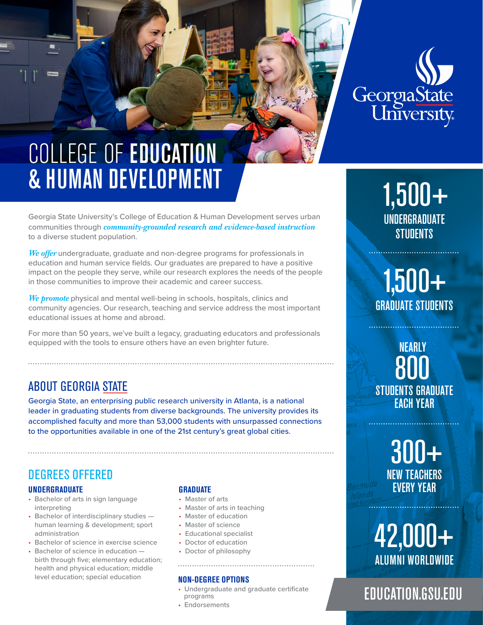

# COLLEGE OF EDUCATION & HUMAN DEVELOPMENT

Georgia State University's College of Education & Human Development serves urban communities through *community-grounded research and evidence-based instruction*  to a diverse student population.

*We offer* undergraduate, graduate and non-degree programs for professionals in education and human service fields. Our graduates are prepared to have a positive impact on the people they serve, while our research explores the needs of the people in those communities to improve their academic and career success.

*We promote* physical and mental well-being in schools, hospitals, clinics and community agencies. Our research, teaching and service address the most important educational issues at home and abroad.

For more than 50 years, we've built a legacy, graduating educators and professionals equipped with the tools to ensure others have an even brighter future.

# ABOUT GEORGIA STATE

Georgia State, an enterprising public research university in Atlanta, is a national leader in graduating students from diverse backgrounds. The university provides its accomplished faculty and more than 53,000 students with unsurpassed connections to the opportunities available in one of the 21st century's great global cities.

# DEGREES OFFERED

### **UNDERGRADUATE**

- Bachelor of arts in sign language interpreting
- Bachelor of interdisciplinary studies human learning & development; sport administration
- Bachelor of science in exercise science
- Bachelor of science in education birth through five; elementary education; health and physical education; middle level education; special education

### **GRADUATE**

- Master of arts
- Master of arts in teaching
- Master of education
- Master of science
- Educational specialist
- Doctor of education
- Doctor of philosophy

#### **NON-DEGREE OPTIONS**

- Undergraduate and graduate certificate programs
- Endorsements

UNDERGRADUATE **STUDENTS** 1,500+

# 1,500+ **GRADUATE STUDENTS**

800 STUDENTS GRADUATE EACH YEAR **NEARLY** 

> NEW TEACHERS EVERY YEAR 300+



# EDUCATION.GSU.EDU